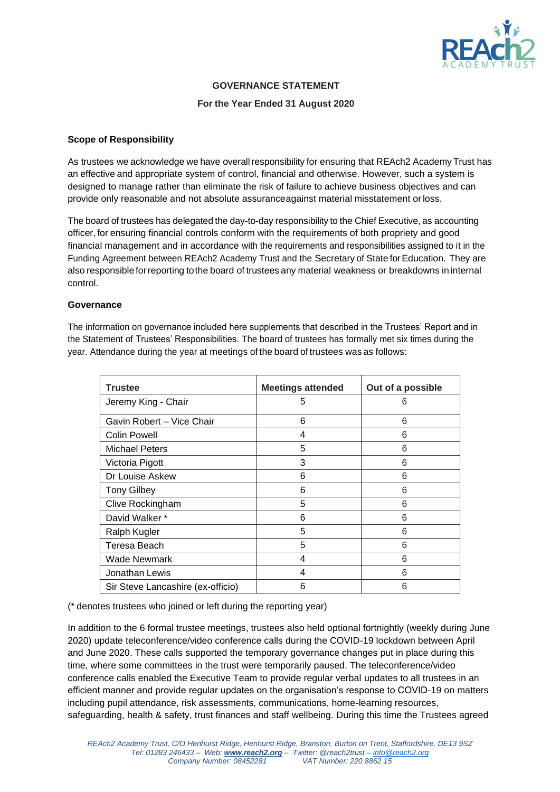

# **GOVERNANCE STATEMENT**

#### **For the Year Ended 31 August 2020**

### **Scope of Responsibility**

As trustees we acknowledge we have overall responsibility for ensuring that REAch2 Academy Trust has an effective and appropriate system of control, financial and otherwise. However, such a system is designed to manage rather than eliminate the risk of failure to achieve business objectives and can provide only reasonable and not absolute assuranceagainst material misstatement orloss.

The board of trustees has delegated the day-to-day responsibility to the Chief Executive, as accounting officer, for ensuring financial controls conform with the requirements of both propriety and good financial management and in accordance with the requirements and responsibilities assigned to it in the Funding Agreement between REAch2 Academy Trust and the Secretary of State forEducation. They are also responsible forreporting tothe board of trustees any material weakness or breakdowns in internal control.

### **Governance**

The information on governance included here supplements that described in the Trustees' Report and in the Statement of Trustees' Responsibilities. The board of trustees has formally met six times during the year. Attendance during the year at meetings of the board of trustees was as follows:

| <b>Trustee</b>                    | <b>Meetings attended</b> | Out of a possible |
|-----------------------------------|--------------------------|-------------------|
| Jeremy King - Chair               | 5                        | 6                 |
| Gavin Robert - Vice Chair         | 6                        | 6                 |
| <b>Colin Powell</b>               | 4                        | 6                 |
| <b>Michael Peters</b>             | 5                        | 6                 |
| Victoria Pigott                   | 3                        | 6                 |
| Dr Louise Askew                   | 6                        | 6                 |
| <b>Tony Gilbey</b>                | 6                        | 6                 |
| Clive Rockingham                  | 5                        | 6                 |
| David Walker *                    | 6                        | 6                 |
| Ralph Kugler                      | 5                        | 6                 |
| Teresa Beach                      | 5                        | 6                 |
| <b>Wade Newmark</b>               | 4                        | 6                 |
| Jonathan Lewis                    | 4                        | 6                 |
| Sir Steve Lancashire (ex-officio) | 6                        | 6                 |

(\* denotes trustees who joined or left during the reporting year)

In addition to the 6 formal trustee meetings, trustees also held optional fortnightly (weekly during June 2020) update teleconference/video conference calls during the COVID-19 lockdown between April and June 2020. These calls supported the temporary governance changes put in place during this time, where some committees in the trust were temporarily paused. The teleconference/video conference calls enabled the Executive Team to provide regular verbal updates to all trustees in an efficient manner and provide regular updates on the organisation's response to COVID-19 on matters including pupil attendance, risk assessments, communications, home-learning resources, safeguarding, health & safety, trust finances and staff wellbeing. During this time the Trustees agreed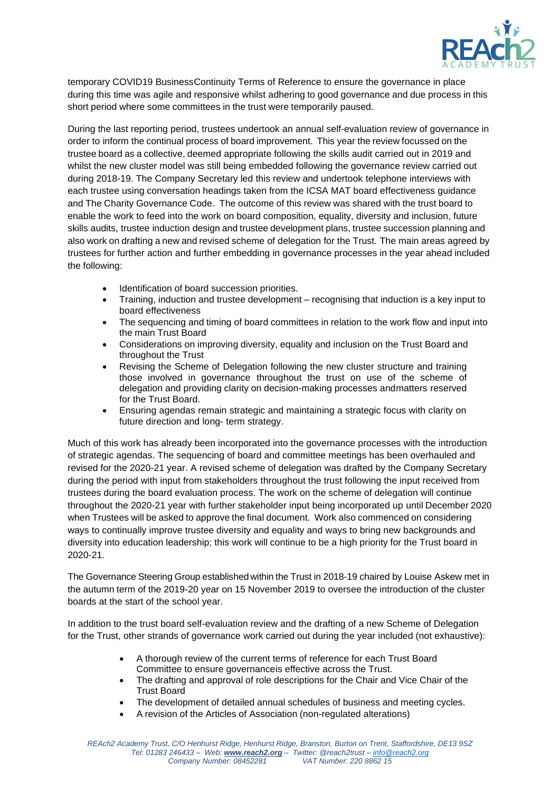

temporary COVID19 BusinessContinuity Terms of Reference to ensure the governance in place during this time was agile and responsive whilst adhering to good governance and due process in this short period where some committees in the trust were temporarily paused.

During the last reporting period, trustees undertook an annual self-evaluation review of governance in order to inform the continual process of board improvement. This year the review focussed on the trustee board as a collective, deemed appropriate following the skills audit carried out in 2019 and whilst the new cluster model was still being embedded following the governance review carried out during 2018-19. The Company Secretary led this review and undertook telephone interviews with each trustee using conversation headings taken from the ICSA MAT board effectiveness guidance and The Charity Governance Code. The outcome of this review was shared with the trust board to enable the work to feed into the work on board composition, equality, diversity and inclusion, future skills audits, trustee induction design and trustee development plans, trustee succession planning and also work on drafting a new and revised scheme of delegation for the Trust. The main areas agreed by trustees for further action and further embedding in governance processes in the year ahead included the following:

- Identification of board succession priorities.
- Training, induction and trustee development recognising that induction is a key input to board effectiveness
- The sequencing and timing of board committees in relation to the work flow and input into the main Trust Board
- Considerations on improving diversity, equality and inclusion on the Trust Board and throughout the Trust
- Revising the Scheme of Delegation following the new cluster structure and training those involved in governance throughout the trust on use of the scheme of delegation and providing clarity on decision-making processes andmatters reserved for the Trust Board.
- Ensuring agendas remain strategic and maintaining a strategic focus with clarity on future direction and long- term strategy.

Much of this work has already been incorporated into the governance processes with the introduction of strategic agendas. The sequencing of board and committee meetings has been overhauled and revised for the 2020-21 year. A revised scheme of delegation was drafted by the Company Secretary during the period with input from stakeholders throughout the trust following the input received from trustees during the board evaluation process. The work on the scheme of delegation will continue throughout the 2020-21 year with further stakeholder input being incorporated up until December 2020 when Trustees will be asked to approve the final document. Work also commenced on considering ways to continually improve trustee diversity and equality and ways to bring new backgrounds and diversity into education leadership; this work will continue to be a high priority for the Trust board in 2020-21.

The Governance Steering Group establishedwithin the Trust in 2018-19 chaired by Louise Askew met in the autumn term of the 2019-20 year on 15 November 2019 to oversee the introduction of the cluster boards at the start of the school year.

In addition to the trust board self-evaluation review and the drafting of a new Scheme of Delegation for the Trust, other strands of governance work carried out during the year included (not exhaustive):

- A thorough review of the current terms of reference for each Trust Board Committee to ensure governanceis effective across the Trust.
- The drafting and approval of role descriptions for the Chair and Vice Chair of the Trust Board
- The development of detailed annual schedules of business and meeting cycles.
- A revision of the Articles of Association (non-regulated alterations)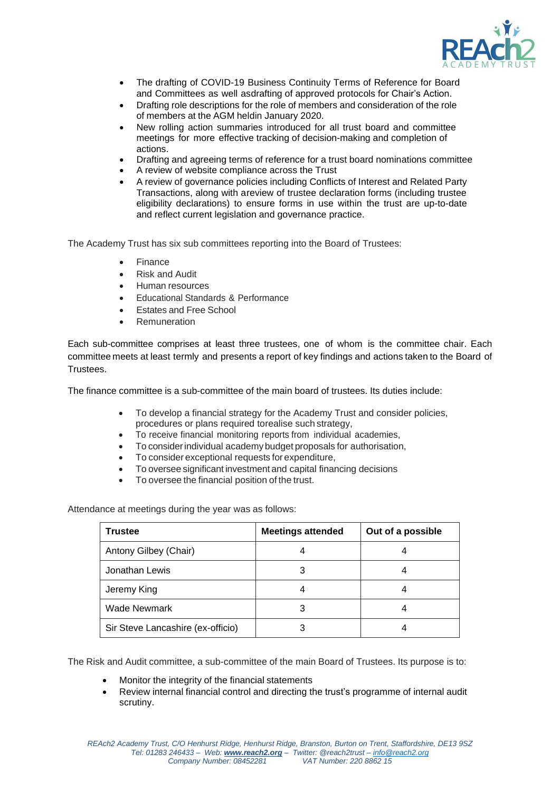

- The drafting of COVID-19 Business Continuity Terms of Reference for Board and Committees as well asdrafting of approved protocols for Chair's Action.
- Drafting role descriptions for the role of members and consideration of the role of members at the AGM heldin January 2020.
- New rolling action summaries introduced for all trust board and committee meetings for more effective tracking of decision-making and completion of actions.
- Drafting and agreeing terms of reference for a trust board nominations committee
- A review of website compliance across the Trust
- A review of governance policies including Conflicts of Interest and Related Party Transactions, along with areview of trustee declaration forms (including trustee eligibility declarations) to ensure forms in use within the trust are up-to-date and reflect current legislation and governance practice.

The Academy Trust has six sub committees reporting into the Board of Trustees:

- **Finance**
- Risk and Audit
- Human resources
- Educational Standards & Performance
- Estates and Free School
- **Remuneration**

Each sub-committee comprises at least three trustees, one of whom is the committee chair. Each committee meets at least termly and presents a report of key findings and actions taken to the Board of **Trustees** 

The finance committee is a sub-committee of the main board of trustees. Its duties include:

- To develop a financial strategy for the Academy Trust and consider policies, procedures or plans required torealise such strategy,
- To receive financial monitoring reports from individual academies,
- To considerindividual academy budget proposals for authorisation,
- To consider exceptional requests for expenditure,
- To oversee significant investment and capital financing decisions
- To oversee the financial position of the trust.

Attendance at meetings during the year was as follows:

| <b>Trustee</b>                    | <b>Meetings attended</b> | Out of a possible |
|-----------------------------------|--------------------------|-------------------|
| Antony Gilbey (Chair)             |                          |                   |
| Jonathan Lewis                    |                          |                   |
| Jeremy King                       |                          |                   |
| <b>Wade Newmark</b>               |                          |                   |
| Sir Steve Lancashire (ex-officio) |                          |                   |

The Risk and Audit committee, a sub-committee of the main Board of Trustees. Its purpose is to:

- Monitor the integrity of the financial statements
- Review internal financial control and directing the trust's programme of internal audit scrutiny.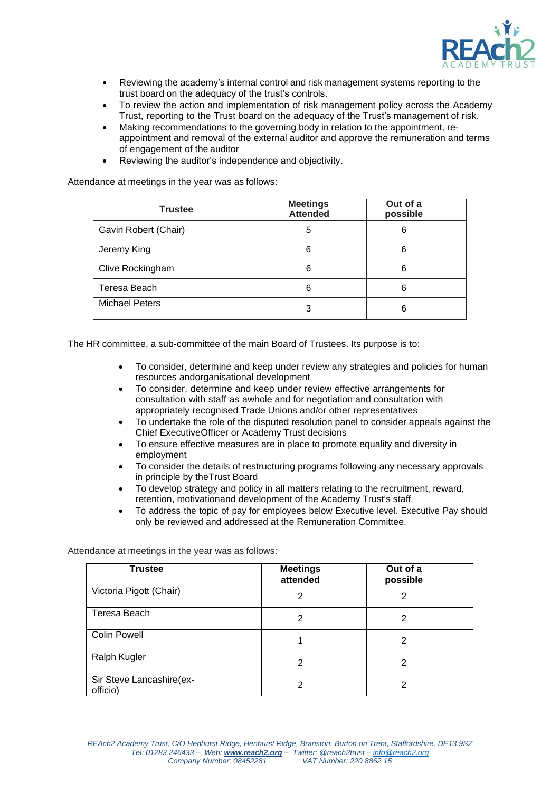

- Reviewing the academy's internal control and risk management systems reporting to the trust board on the adequacy of the trust's controls.
- To review the action and implementation of risk management policy across the Academy Trust, reporting to the Trust board on the adequacy of the Trust's management of risk.
- Making recommendations to the governing body in relation to the appointment, reappointment and removal of the external auditor and approve the remuneration and terms of engagement of the auditor
- Reviewing the auditor's independence and objectivity.

Attendance at meetings in the year was as follows:

| <b>Trustee</b>        | <b>Meetings</b><br><b>Attended</b> | Out of a<br>possible |
|-----------------------|------------------------------------|----------------------|
| Gavin Robert (Chair)  | 5                                  | 6                    |
| Jeremy King           | 6                                  | 6                    |
| Clive Rockingham      | 6                                  | 6                    |
| Teresa Beach          | 6                                  | 6                    |
| <b>Michael Peters</b> | 3                                  | 6                    |

The HR committee, a sub-committee of the main Board of Trustees. Its purpose is to:

- To consider, determine and keep under review any strategies and policies for human resources andorganisational development
- To consider, determine and keep under review effective arrangements for consultation with staff as awhole and for negotiation and consultation with appropriately recognised Trade Unions and/or other representatives
- To undertake the role of the disputed resolution panel to consider appeals against the Chief ExecutiveOfficer or Academy Trust decisions
- To ensure effective measures are in place to promote equality and diversity in employment
- To consider the details of restructuring programs following any necessary approvals in principle by theTrust Board
- To develop strategy and policy in all matters relating to the recruitment, reward, retention, motivationand development of the Academy Trust's staff
- To address the topic of pay for employees below Executive level. Executive Pay should only be reviewed and addressed at the Remuneration Committee.

Attendance at meetings in the year was as follows:

| <b>Trustee</b>                       | <b>Meetings</b><br>attended | Out of a<br>possible |
|--------------------------------------|-----------------------------|----------------------|
| Victoria Pigott (Chair)              | 2                           | 2                    |
| Teresa Beach                         | 2                           | 2                    |
| <b>Colin Powell</b>                  |                             | 2                    |
| Ralph Kugler                         | 2                           | 2                    |
| Sir Steve Lancashire(ex-<br>officio) | 2                           | 2                    |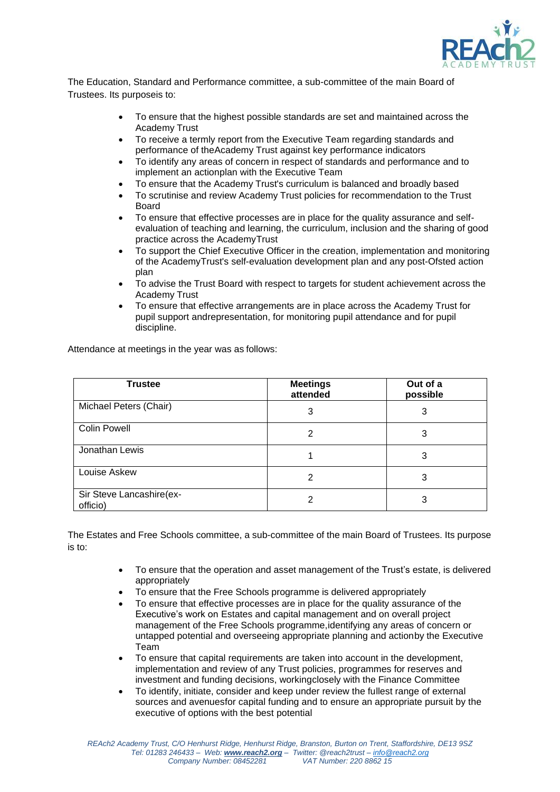

The Education, Standard and Performance committee, a sub-committee of the main Board of Trustees. Its purposeis to:

- To ensure that the highest possible standards are set and maintained across the Academy Trust
- To receive a termly report from the Executive Team regarding standards and performance of theAcademy Trust against key performance indicators
- To identify any areas of concern in respect of standards and performance and to implement an actionplan with the Executive Team
- To ensure that the Academy Trust's curriculum is balanced and broadly based
- To scrutinise and review Academy Trust policies for recommendation to the Trust Board
- To ensure that effective processes are in place for the quality assurance and selfevaluation of teaching and learning, the curriculum, inclusion and the sharing of good practice across the AcademyTrust
- To support the Chief Executive Officer in the creation, implementation and monitoring of the AcademyTrust's self-evaluation development plan and any post-Ofsted action plan
- To advise the Trust Board with respect to targets for student achievement across the Academy Trust
- To ensure that effective arrangements are in place across the Academy Trust for pupil support andrepresentation, for monitoring pupil attendance and for pupil discipline.

Attendance at meetings in the year was as follows:

| <b>Trustee</b>                       | <b>Meetings</b><br>attended | Out of a<br>possible |
|--------------------------------------|-----------------------------|----------------------|
| Michael Peters (Chair)               | 3                           | 3                    |
| <b>Colin Powell</b>                  | 2                           | 3                    |
| Jonathan Lewis                       |                             | 3                    |
| Louise Askew                         | 2                           | 3                    |
| Sir Steve Lancashire(ex-<br>officio) | ◠                           | 3                    |

The Estates and Free Schools committee, a sub-committee of the main Board of Trustees. Its purpose is to:

- To ensure that the operation and asset management of the Trust's estate, is delivered appropriately
- To ensure that the Free Schools programme is delivered appropriately
- To ensure that effective processes are in place for the quality assurance of the Executive's work on Estates and capital management and on overall project management of the Free Schools programme,identifying any areas of concern or untapped potential and overseeing appropriate planning and actionby the Executive Team
- To ensure that capital requirements are taken into account in the development, implementation and review of any Trust policies, programmes for reserves and investment and funding decisions, workingclosely with the Finance Committee
- To identify, initiate, consider and keep under review the fullest range of external sources and avenuesfor capital funding and to ensure an appropriate pursuit by the executive of options with the best potential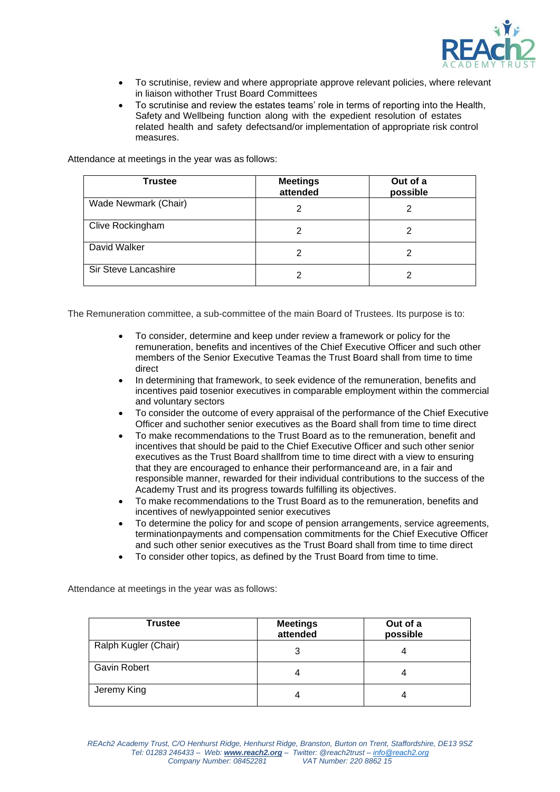

- To scrutinise, review and where appropriate approve relevant policies, where relevant in liaison withother Trust Board Committees
- To scrutinise and review the estates teams' role in terms of reporting into the Health, Safety and Wellbeing function along with the expedient resolution of estates related health and safety defectsand/or implementation of appropriate risk control measures.

Attendance at meetings in the year was as follows:

| Trustee              | <b>Meetings</b><br>attended | Out of a<br>possible |
|----------------------|-----------------------------|----------------------|
| Wade Newmark (Chair) | 2                           | 2                    |
| Clive Rockingham     | 2                           |                      |
| David Walker         | 2                           | 2                    |
| Sir Steve Lancashire | 2                           | 2                    |

The Remuneration committee, a sub-committee of the main Board of Trustees. Its purpose is to:

- To consider, determine and keep under review a framework or policy for the remuneration, benefits and incentives of the Chief Executive Officer and such other members of the Senior Executive Teamas the Trust Board shall from time to time direct
- In determining that framework, to seek evidence of the remuneration, benefits and incentives paid tosenior executives in comparable employment within the commercial and voluntary sectors
- To consider the outcome of every appraisal of the performance of the Chief Executive Officer and suchother senior executives as the Board shall from time to time direct
- To make recommendations to the Trust Board as to the remuneration, benefit and incentives that should be paid to the Chief Executive Officer and such other senior executives as the Trust Board shallfrom time to time direct with a view to ensuring that they are encouraged to enhance their performanceand are, in a fair and responsible manner, rewarded for their individual contributions to the success of the Academy Trust and its progress towards fulfilling its objectives.
- To make recommendations to the Trust Board as to the remuneration, benefits and incentives of newlyappointed senior executives
- To determine the policy for and scope of pension arrangements, service agreements, terminationpayments and compensation commitments for the Chief Executive Officer and such other senior executives as the Trust Board shall from time to time direct
- To consider other topics, as defined by the Trust Board from time to time.

Attendance at meetings in the year was as follows:

| Trustee              | <b>Meetings</b><br>attended | Out of a<br>possible |
|----------------------|-----------------------------|----------------------|
| Ralph Kugler (Chair) | 3                           |                      |
| <b>Gavin Robert</b>  | 4                           |                      |
| Jeremy King          | 4                           |                      |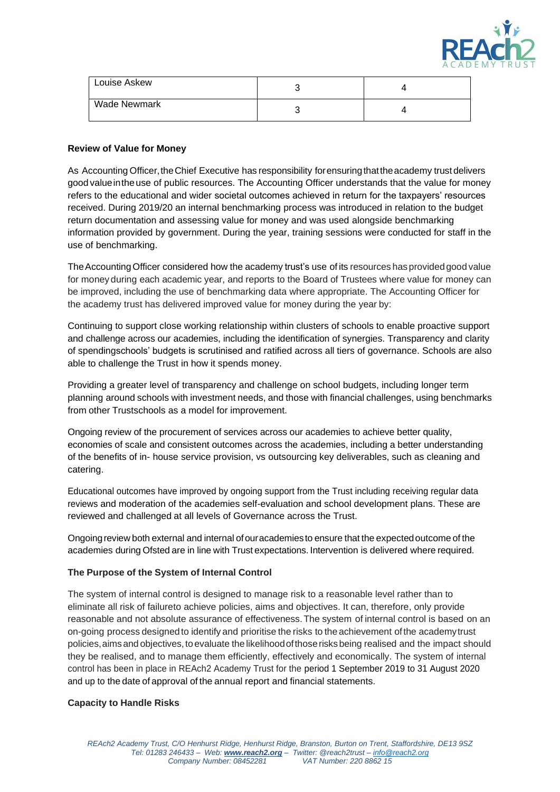

| Louise Askew        | ⊾ |  |
|---------------------|---|--|
| <b>Wade Newmark</b> |   |  |

### **Review of Value for Money**

As Accounting Officer, the Chief Executive has responsibility for ensuring that the academy trust delivers good valueinthe use of public resources. The Accounting Officer understands that the value for money refers to the educational and wider societal outcomes achieved in return for the taxpayers' resources received. During 2019/20 an internal benchmarking process was introduced in relation to the budget return documentation and assessing value for money and was used alongside benchmarking information provided by government. During the year, training sessions were conducted for staff in the use of benchmarking.

The Accounting Officer considered how the academy trust's use of its resources has provided good value for money during each academic year, and reports to the Board of Trustees where value for money can be improved, including the use of benchmarking data where appropriate. The Accounting Officer for the academy trust has delivered improved value for money during the year by:

Continuing to support close working relationship within clusters of schools to enable proactive support and challenge across our academies, including the identification of synergies. Transparency and clarity of spendingschools' budgets is scrutinised and ratified across all tiers of governance. Schools are also able to challenge the Trust in how it spends money.

Providing a greater level of transparency and challenge on school budgets, including longer term planning around schools with investment needs, and those with financial challenges, using benchmarks from other Trustschools as a model for improvement.

Ongoing review of the procurement of services across our academies to achieve better quality, economies of scale and consistent outcomes across the academies, including a better understanding of the benefits of in- house service provision, vs outsourcing key deliverables, such as cleaning and catering.

Educational outcomes have improved by ongoing support from the Trust including receiving regular data reviews and moderation of the academies self-evaluation and school development plans. These are reviewed and challenged at all levels of Governance across the Trust.

Ongoing review both external and internal of our academies to ensure that the expected outcome of the academies during Ofsted are in line with Trust expectations. Intervention is delivered where required.

# **The Purpose of the System of Internal Control**

The system of internal control is designed to manage risk to a reasonable level rather than to eliminate all risk of failureto achieve policies, aims and objectives. It can, therefore, only provide reasonable and not absolute assurance of effectiveness.The system of internal control is based on an on-going process designedto identify and prioritise the risks to the achievement ofthe academytrust policies,aimsand objectives,to evaluate the likelihoodofthoserisksbeing realised and the impact should they be realised, and to manage them efficiently, effectively and economically. The system of internal control has been in place in REAch2 Academy Trust for the period 1 September 2019 to 31 August 2020 and up to the date of approval of the annual report and financial statements.

#### **Capacity to Handle Risks**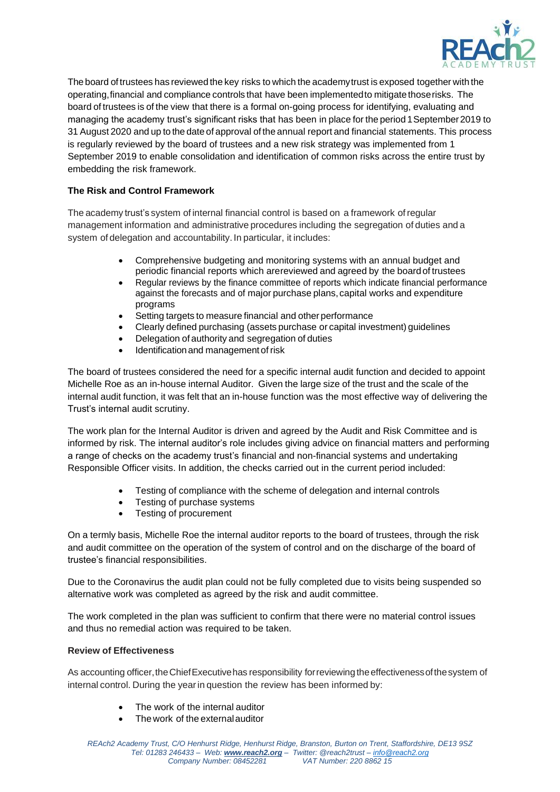

The board of trustees has reviewed the key risks to which the academytrust is exposed together with the operating,financial and compliance controls that have been implementedto mitigate thoserisks. The board of trustees is of the view that there is a formal on-going process for identifying, evaluating and managing the academy trust's significant risks that has been in place for the period 1September2019 to 31 August 2020 and up to the date of approval of the annual report and financial statements. This process is regularly reviewed by the board of trustees and a new risk strategy was implemented from 1 September 2019 to enable consolidation and identification of common risks across the entire trust by embedding the risk framework.

# **The Risk and Control Framework**

The academy trust's system of internal financial control is based on a framework ofregular management information and administrative procedures including the segregation of duties and a system of delegation and accountability. In particular, it includes:

- Comprehensive budgeting and monitoring systems with an annual budget and periodic financial reports which arereviewed and agreed by the boardof trustees
- Regular reviews by the finance committee of reports which indicate financial performance against the forecasts and of major purchase plans,capital works and expenditure programs
- Setting targets to measure financial and other performance
- Clearly defined purchasing (assets purchase or capital investment) guidelines
- Delegation of authority and segregation of duties
- Identificationand management of risk

The board of trustees considered the need for a specific internal audit function and decided to appoint Michelle Roe as an in-house internal Auditor. Given the large size of the trust and the scale of the internal audit function, it was felt that an in-house function was the most effective way of delivering the Trust's internal audit scrutiny.

The work plan for the Internal Auditor is driven and agreed by the Audit and Risk Committee and is informed by risk. The internal auditor's role includes giving advice on financial matters and performing a range of checks on the academy trust's financial and non-financial systems and undertaking Responsible Officer visits. In addition, the checks carried out in the current period included:

- Testing of compliance with the scheme of delegation and internal controls
- Testing of purchase systems
- Testing of procurement

On a termly basis, Michelle Roe the internal auditor reports to the board of trustees, through the risk and audit committee on the operation of the system of control and on the discharge of the board of trustee's financial responsibilities.

Due to the Coronavirus the audit plan could not be fully completed due to visits being suspended so alternative work was completed as agreed by the risk and audit committee.

The work completed in the plan was sufficient to confirm that there were no material control issues and thus no remedial action was required to be taken.

# **Review of Effectiveness**

As accounting officer, the Chief Executive has responsibility for reviewing the effectiveness of the system of internal control. During the yearin question the review has been informed by:

- The work of the internal auditor
- The work of the externalauditor